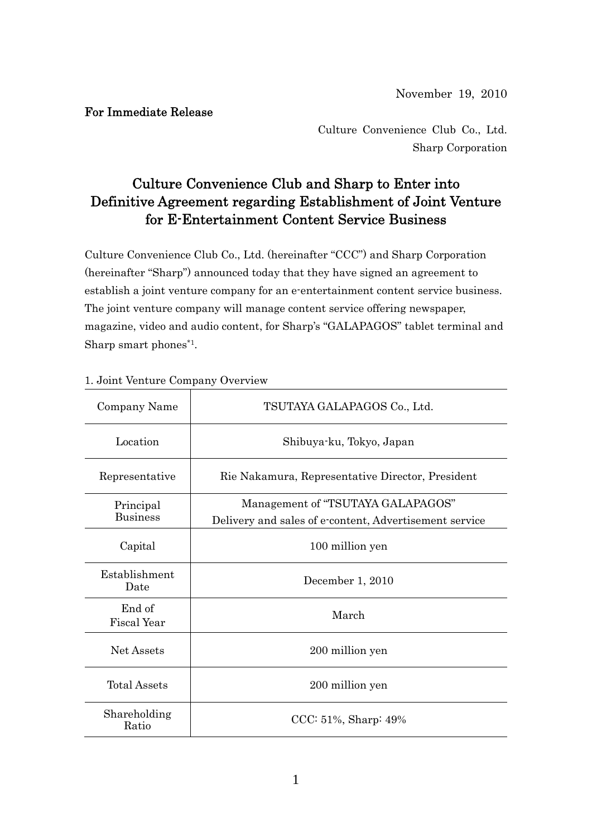November 19, 2010

## For Immediate Release

Culture Convenience Club Co., Ltd. Sharp Corporation

## Culture Convenience Club and Sharp to Enter into Definitive Agreement regarding Establishment of Joint Venture for E-Entertainment Content Service Business

Culture Convenience Club Co., Ltd. (hereinafter "CCC") and Sharp Corporation (hereinafter "Sharp") announced today that they have signed an agreement to establish a joint venture company for an e-entertainment content service business. The joint venture company will manage content service offering newspaper, magazine, video and audio content, for Sharp's "GALAPAGOS" tablet terminal and Sharp smart phones\*1.

| Company Name                 | TSUTAYA GALAPAGOS Co., Ltd.                            |
|------------------------------|--------------------------------------------------------|
| Location                     | Shibuya-ku, Tokyo, Japan                               |
| Representative               | Rie Nakamura, Representative Director, President       |
| Principal<br><b>Business</b> | Management of "TSUTAYA GALAPAGOS"                      |
|                              | Delivery and sales of e-content, Advertisement service |
| Capital                      | 100 million yen                                        |
| Establishment<br>Date        | December 1, 2010                                       |
| End of<br><b>Fiscal Year</b> | March                                                  |
| Net Assets                   | 200 million yen                                        |
| <b>Total Assets</b>          | 200 million yen                                        |
| Shareholding<br>Ratio        | $CCC: 51\%, Sharp: 49\%$                               |

## 1. Joint Venture Company Overview